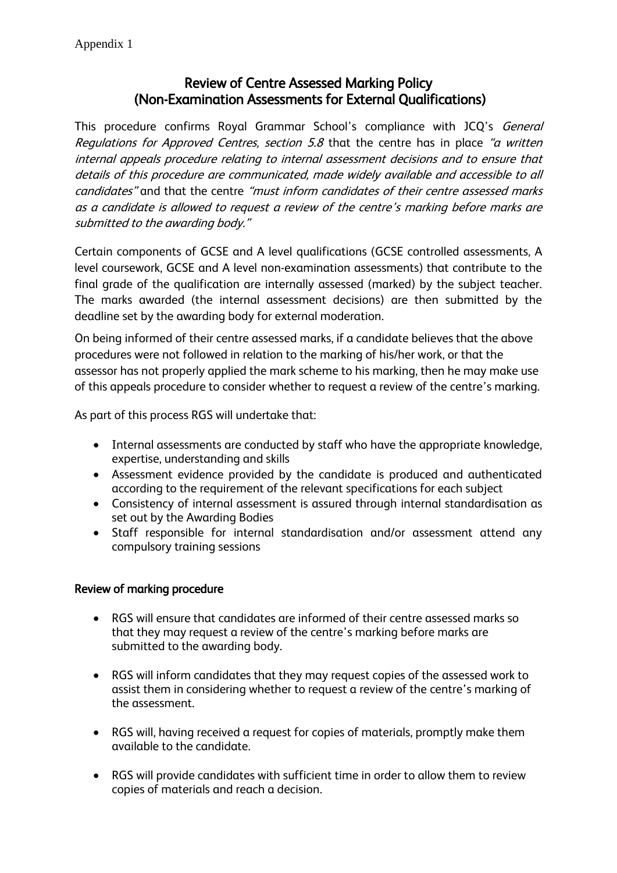## Review of Centre Assessed Marking Policy (Non-Examination Assessments for External Qualifications)

This procedure confirms Royal Grammar School's compliance with JCQ's General Regulations for Approved Centres, section 5.8 that the centre has in place "a written internal appeals procedure relating to internal assessment decisions and to ensure that details of this procedure are communicated, made widely available and accessible to all candidates" and that the centre "must inform candidates of their centre assessed marks as a candidate is allowed to request a review of the centre's marking before marks are submitted to the awarding body."

Certain components of GCSE and A level qualifications (GCSE controlled assessments, A level coursework, GCSE and A level non-examination assessments) that contribute to the final grade of the qualification are internally assessed (marked) by the subject teacher. The marks awarded (the internal assessment decisions) are then submitted by the deadline set by the awarding body for external moderation.

On being informed of their centre assessed marks, if a candidate believes that the above procedures were not followed in relation to the marking of his/her work, or that the assessor has not properly applied the mark scheme to his marking, then he may make use of this appeals procedure to consider whether to request a review of the centre's marking.

As part of this process RGS will undertake that:

- Internal assessments are conducted by staff who have the appropriate knowledge, expertise, understanding and skills
- Assessment evidence provided by the candidate is produced and authenticated according to the requirement of the relevant specifications for each subject
- Consistency of internal assessment is assured through internal standardisation as set out by the Awarding Bodies
- Staff responsible for internal standardisation and/or assessment attend any compulsory training sessions

## Review of marking procedure

- RGS will ensure that candidates are informed of their centre assessed marks so that they may request a review of the centre's marking before marks are submitted to the awarding body.
- RGS will inform candidates that they may request copies of the assessed work to assist them in considering whether to request a review of the centre's marking of the assessment.
- RGS will, having received a request for copies of materials, promptly make them available to the candidate.
- RGS will provide candidates with sufficient time in order to allow them to review copies of materials and reach a decision.